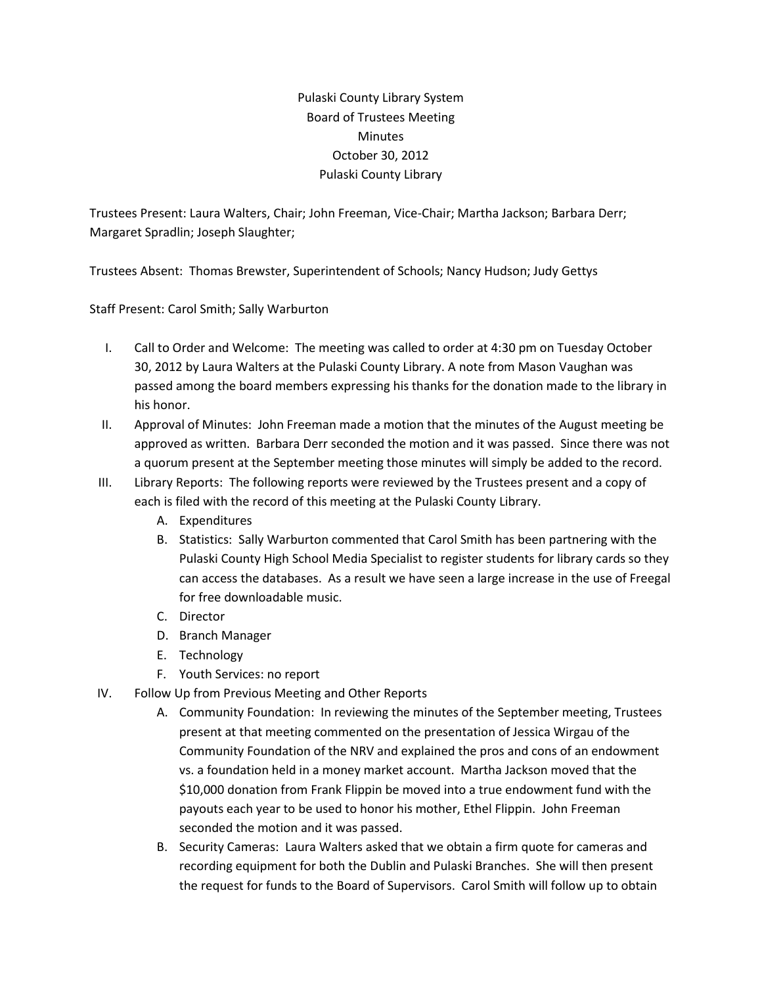Pulaski County Library System Board of Trustees Meeting **Minutes** October 30, 2012 Pulaski County Library

Trustees Present: Laura Walters, Chair; John Freeman, Vice-Chair; Martha Jackson; Barbara Derr; Margaret Spradlin; Joseph Slaughter;

Trustees Absent: Thomas Brewster, Superintendent of Schools; Nancy Hudson; Judy Gettys

Staff Present: Carol Smith; Sally Warburton

- I. Call to Order and Welcome: The meeting was called to order at 4:30 pm on Tuesday October 30, 2012 by Laura Walters at the Pulaski County Library. A note from Mason Vaughan was passed among the board members expressing his thanks for the donation made to the library in his honor.
- II. Approval of Minutes: John Freeman made a motion that the minutes of the August meeting be approved as written. Barbara Derr seconded the motion and it was passed. Since there was not a quorum present at the September meeting those minutes will simply be added to the record.
- III. Library Reports: The following reports were reviewed by the Trustees present and a copy of each is filed with the record of this meeting at the Pulaski County Library.
	- A. Expenditures
	- B. Statistics: Sally Warburton commented that Carol Smith has been partnering with the Pulaski County High School Media Specialist to register students for library cards so they can access the databases. As a result we have seen a large increase in the use of Freegal for free downloadable music.
	- C. Director
	- D. Branch Manager
	- E. Technology
	- F. Youth Services: no report
- IV. Follow Up from Previous Meeting and Other Reports
	- A. Community Foundation: In reviewing the minutes of the September meeting, Trustees present at that meeting commented on the presentation of Jessica Wirgau of the Community Foundation of the NRV and explained the pros and cons of an endowment vs. a foundation held in a money market account. Martha Jackson moved that the \$10,000 donation from Frank Flippin be moved into a true endowment fund with the payouts each year to be used to honor his mother, Ethel Flippin. John Freeman seconded the motion and it was passed.
	- B. Security Cameras: Laura Walters asked that we obtain a firm quote for cameras and recording equipment for both the Dublin and Pulaski Branches. She will then present the request for funds to the Board of Supervisors. Carol Smith will follow up to obtain